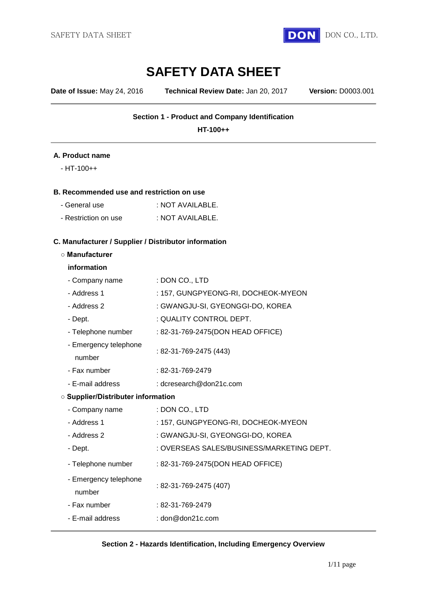

# **SAFETY DATA SHEET**

**Date of Issue:** May 24, 2016 **Technical Review Date:** Jan 20, 2017 **Version:** D0003.001

## **Section 1 - Product and Company Identification**

**HT-100++**

#### **A. Product name**

- HT-100++

#### **B. Recommended use and restriction on use**

| - General use        | : NOT AVAILABLE. |
|----------------------|------------------|
| - Restriction on use | : NOT AVAILABLE. |

#### **C. Manufacturer / Supplier / Distributor information**

#### **○ Manufacturer**

#### **information**

| - Company name                            | : DON CO., LTD                            |  |  |  |
|-------------------------------------------|-------------------------------------------|--|--|--|
| - Address 1                               | : 157, GUNGPYEONG-RI, DOCHEOK-MYEON       |  |  |  |
| - Address 2                               | : GWANGJU-SI, GYEONGGI-DO, KOREA          |  |  |  |
| - Dept.                                   | : QUALITY CONTROL DEPT.                   |  |  |  |
| - Telephone number                        | : 82-31-769-2475(DON HEAD OFFICE)         |  |  |  |
| - Emergency telephone<br>number           | : 82-31-769-2475 (443)                    |  |  |  |
| - Fax number                              | $: 82 - 31 - 769 - 2479$                  |  |  |  |
| - E-mail address                          | : dcresearch@don21c.com                   |  |  |  |
| <b>O Supplier/Distributer information</b> |                                           |  |  |  |
| - Company name                            | : DON CO., LTD                            |  |  |  |
| - Address 1                               | : 157, GUNGPYEONG-RI, DOCHEOK-MYEON       |  |  |  |
| - Address 2                               | : GWANGJU-SI, GYEONGGI-DO, KOREA          |  |  |  |
| - Dept.                                   | : OVERSEAS SALES/BUSINESS/MARKETING DEPT. |  |  |  |
| - Telephone number                        | : 82-31-769-2475(DON HEAD OFFICE)         |  |  |  |
| - Emergency telephone<br>number           | : 82-31-769-2475 (407)                    |  |  |  |
| - Fax number                              | : 82-31-769-2479                          |  |  |  |
| - E-mail address                          | : don@don21c.com                          |  |  |  |

#### **Section 2 - Hazards Identification, Including Emergency Overview**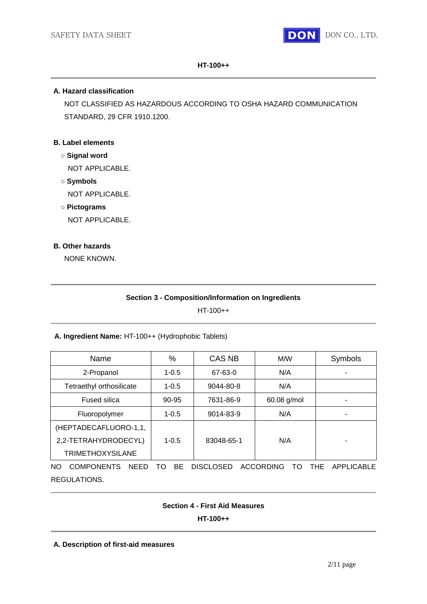

#### **HT-100++**

## **A. Hazard classification**

NOT CLASSIFIED AS HAZARDOUS ACCORDING TO OSHA HAZARD COMMUNICATION STANDARD, 29 CFR 1910.1200.

## **B. Label elements**

- **○ Signal word** NOT APPLICABLE.
- **○ Symbols** NOT APPLICABLE.
- **○ Pictograms**

NOT APPLICABLE.

## **B. Other hazards**

NONE KNOWN.

## **Section 3 - Composition/Information on Ingredients**

HT-100++

## **A. Ingredient Name:** HT-100++ (Hydrophobic Tablets)

| Name                                                                                                              | %         | <b>CAS NB</b> | M/W         | Symbols |
|-------------------------------------------------------------------------------------------------------------------|-----------|---------------|-------------|---------|
| 2-Propanol                                                                                                        | $1 - 0.5$ | 67-63-0       | N/A         |         |
| Tetraethyl orthosilicate                                                                                          | $1 - 0.5$ | 9044-80-8     | N/A         |         |
| <b>Fused silica</b>                                                                                               | $90 - 95$ | 7631-86-9     | 60.08 g/mol |         |
| Fluoropolymer                                                                                                     | $1 - 0.5$ | 9014-83-9     | N/A         |         |
| (HEPTADECAFLUORO-1,1,                                                                                             |           |               |             |         |
| 2,2-TETRAHYDRODECYL)                                                                                              | $1 - 0.5$ | 83048-65-1    | N/A         |         |
| <b>TRIMETHOXYSILANE</b>                                                                                           |           |               |             |         |
| <b>ACCORDING</b><br><b>COMPONENTS</b><br><b>DISCLOSED</b><br>THE.<br>APPLICABLE<br><b>NEED</b><br>BE<br>NO.<br>т∩ |           |               |             |         |

REGULATIONS.

#### **Section 4 - First Aid Measures**

**HT-100++**

#### **A. Description of first-aid measures**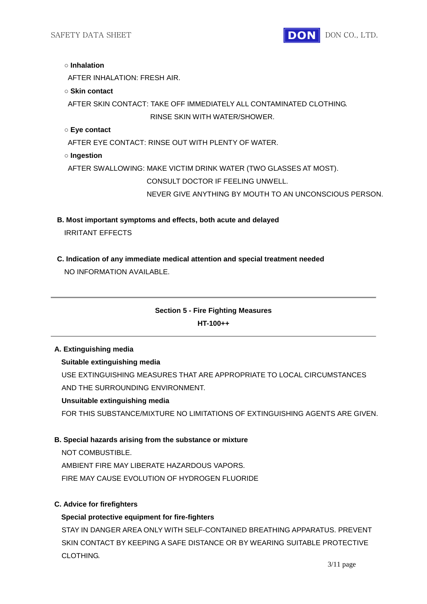

#### **○ Inhalation**

AFTER INHALATION: FRESH AIR.

#### **○ Skin contact**

AFTER SKIN CONTACT: TAKE OFF IMMEDIATELY ALL CONTAMINATED CLOTHING. RINSE SKIN WITH WATER/SHOWER.

## **○ Eye contact**

AFTER EYE CONTACT: RINSE OUT WITH PLENTY OF WATER.

**○ Ingestion**

AFTER SWALLOWING: MAKE VICTIM DRINK WATER (TWO GLASSES AT MOST).

CONSULT DOCTOR IF FEELING UNWELL.

NEVER GIVE ANYTHING BY MOUTH TO AN UNCONSCIOUS PERSON.

- **B. Most important symptoms and effects, both acute and delayed** IRRITANT EFFECTS
- **C. Indication of any immediate medical attention and special treatment needed**

NO INFORMATION AVAILABLE.

# **Section 5 - Fire Fighting Measures HT-100++**

## **A. Extinguishing media**

## **Suitable extinguishing media**

USE EXTINGUISHING MEASURES THAT ARE APPROPRIATE TO LOCAL CIRCUMSTANCES AND THE SURROUNDING ENVIRONMENT.

#### **Unsuitable extinguishing media**

FOR THIS SUBSTANCE/MIXTURE NO LIMITATIONS OF EXTINGUISHING AGENTS ARE GIVEN.

#### **B. Special hazards arising from the substance or mixture**

NOT COMBUSTIBLE

AMBIENT FIRE MAY LIBERATE HAZARDOUS VAPORS.

FIRE MAY CAUSE EVOLUTION OF HYDROGEN FLUORIDE

## **C. Advice for firefighters**

## **Special protective equipment for fire-fighters**

STAY IN DANGER AREA ONLY WITH SELF-CONTAINED BREATHING APPARATUS. PREVENT SKIN CONTACT BY KEEPING A SAFE DISTANCE OR BY WEARING SUITABLE PROTECTIVE CLOTHING.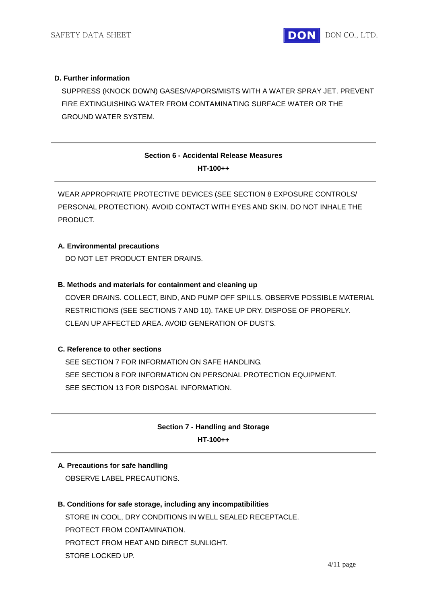## **D. Further information**

 SUPPRESS (KNOCK DOWN) GASES/VAPORS/MISTS WITH A WATER SPRAY JET. PREVENT FIRE EXTINGUISHING WATER FROM CONTAMINATING SURFACE WATER OR THE GROUND WATER SYSTEM.

# **Section 6 - Accidental Release Measures HT-100++**

WEAR APPROPRIATE PROTECTIVE DEVICES (SEE SECTION 8 EXPOSURE CONTROLS/ PERSONAL PROTECTION). AVOID CONTACT WITH EYES AND SKIN. DO NOT INHALE THE PRODUCT.

## **A. Environmental precautions**

DO NOT LET PRODUCT ENTER DRAINS.

## **B. Methods and materials for containment and cleaning up**

COVER DRAINS. COLLECT, BIND, AND PUMP OFF SPILLS. OBSERVE POSSIBLE MATERIAL RESTRICTIONS (SEE SECTIONS 7 AND 10). TAKE UP DRY. DISPOSE OF PROPERLY. CLEAN UP AFFECTED AREA. AVOID GENERATION OF DUSTS.

## **C. Reference to other sections**

SEE SECTION 7 FOR INFORMATION ON SAFE HANDLING. SEE SECTION 8 FOR INFORMATION ON PERSONAL PROTECTION EQUIPMENT. SEE SECTION 13 FOR DISPOSAL INFORMATION.

# **Section 7 - Handling and Storage HT-100++**

#### **A. Precautions for safe handling**

OBSERVE LABEL PRECAUTIONS.

#### **B. Conditions for safe storage, including any incompatibilities**

STORE IN COOL, DRY CONDITIONS IN WELL SEALED RECEPTACLE. PROTECT FROM CONTAMINATION. PROTECT FROM HEAT AND DIRECT SUNLIGHT. STORE LOCKED UP.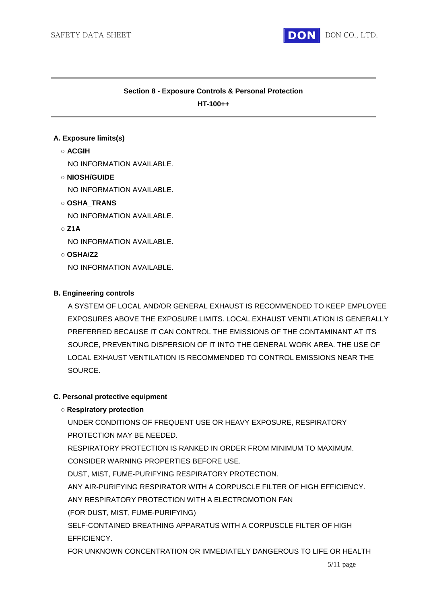

## **Section 8 - Exposure Controls & Personal Protection**

**HT-100++**

## **A. Exposure limits(s)**

## **○ ACGIH**

NO INFORMATION AVAILABLE.

## **○ NIOSH/GUIDE**

NO INFORMATION AVAILABLE.

## **○ OSHA\_TRANS**

NO INFORMATION AVAILABLE.

## **○ Z1A**

NO INFORMATION AVAILABLE.

## **○ OSHA/Z2**

NO INFORMATION AVAILABLE.

## **B. Engineering controls**

A SYSTEM OF LOCAL AND/OR GENERAL EXHAUST IS RECOMMENDED TO KEEP EMPLOYEE EXPOSURES ABOVE THE EXPOSURE LIMITS. LOCAL EXHAUST VENTILATION IS GENERALLY PREFERRED BECAUSE IT CAN CONTROL THE EMISSIONS OF THE CONTAMINANT AT ITS SOURCE, PREVENTING DISPERSION OF IT INTO THE GENERAL WORK AREA. THE USE OF LOCAL EXHAUST VENTILATION IS RECOMMENDED TO CONTROL EMISSIONS NEAR THE SOURCE.

#### **C. Personal protective equipment**

## **○ Respiratory protection**

UNDER CONDITIONS OF FREQUENT USE OR HEAVY EXPOSURE, RESPIRATORY PROTECTION MAY BE NEEDED.

RESPIRATORY PROTECTION IS RANKED IN ORDER FROM MINIMUM TO MAXIMUM. CONSIDER WARNING PROPERTIES BEFORE USE.

DUST, MIST, FUME-PURIFYING RESPIRATORY PROTECTION.

ANY AIR-PURIFYING RESPIRATOR WITH A CORPUSCLE FILTER OF HIGH EFFICIENCY.

ANY RESPIRATORY PROTECTION WITH A ELECTROMOTION FAN

(FOR DUST, MIST, FUME-PURIFYING)

SELF-CONTAINED BREATHING APPARATUS WITH A CORPUSCLE FILTER OF HIGH EFFICIENCY.

FOR UNKNOWN CONCENTRATION OR IMMEDIATELY DANGEROUS TO LIFE OR HEALTH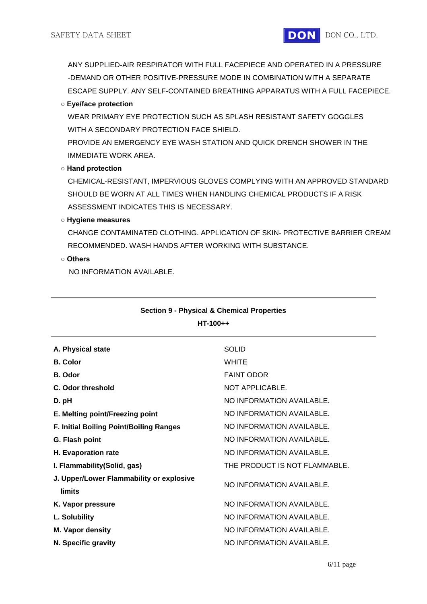ANY SUPPLIED-AIR RESPIRATOR WITH FULL FACEPIECE AND OPERATED IN A PRESSURE -DEMAND OR OTHER POSITIVE-PRESSURE MODE IN COMBINATION WITH A SEPARATE ESCAPE SUPPLY. ANY SELF-CONTAINED BREATHING APPARATUS WITH A FULL FACEPIECE.

## **○ Eye/face protection**

WEAR PRIMARY EYE PROTECTION SUCH AS SPLASH RESISTANT SAFETY GOGGLES WITH A SECONDARY PROTECTION FACE SHIELD.

PROVIDE AN EMERGENCY EYE WASH STATION AND QUICK DRENCH SHOWER IN THE IMMEDIATE WORK AREA.

## **○ Hand protection**

CHEMICAL-RESISTANT, IMPERVIOUS GLOVES COMPLYING WITH AN APPROVED STANDARD SHOULD BE WORN AT ALL TIMES WHEN HANDLING CHEMICAL PRODUCTS IF A RISK ASSESSMENT INDICATES THIS IS NECESSARY.

**○ Hygiene measures**

CHANGE CONTAMINATED CLOTHING. APPLICATION OF SKIN- PROTECTIVE BARRIER CREAM RECOMMENDED. WASH HANDS AFTER WORKING WITH SUBSTANCE.

## **○ Others**

NO INFORMATION AVAILABLE.

| A. Physical state                                         | <b>SOLID</b>                  |
|-----------------------------------------------------------|-------------------------------|
| <b>B.</b> Color                                           | <b>WHITE</b>                  |
| <b>B.</b> Odor                                            | <b>FAINT ODOR</b>             |
| C. Odor threshold                                         | NOT APPLICABLE.               |
| D. pH                                                     | NO INFORMATION AVAILABLE.     |
| E. Melting point/Freezing point                           | NO INFORMATION AVAILABLE.     |
| F. Initial Boiling Point/Boiling Ranges                   | NO INFORMATION AVAILABLE.     |
| G. Flash point                                            | NO INFORMATION AVAILABLE.     |
| H. Evaporation rate                                       | NO INFORMATION AVAILABLE.     |
| I. Flammability(Solid, gas)                               | THE PRODUCT IS NOT FLAMMABLE. |
| J. Upper/Lower Flammability or explosive<br><b>limits</b> | NO INFORMATION AVAILABLE.     |
| K. Vapor pressure                                         | NO INFORMATION AVAILABLE.     |
| L. Solubility                                             | NO INFORMATION AVAILABLE.     |
| M. Vapor density                                          | NO INFORMATION AVAILABLE.     |
| N. Specific gravity                                       | NO INFORMATION AVAILABLE.     |
|                                                           |                               |

# **Section 9 - Physical & Chemical Properties HT-100++**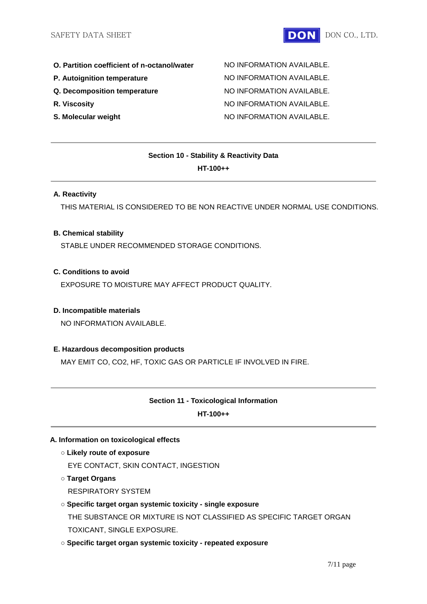- **O. Partition coefficient of n-octanol/water** MO INFORMATION AVAILABLE.
- 
- 
- 
- 

**P. Autoignition temperature MO INFORMATION AVAILABLE. Q. Decomposition temperature** NO INFORMATION AVAILABLE. **R. Viscosity R. Viscosity NO INFORMATION AVAILABLE. S. Molecular weight** NO INFORMATION AVAILABLE.

# **Section 10 - Stability & Reactivity Data HT-100++**

## **A. Reactivity**

THIS MATERIAL IS CONSIDERED TO BE NON REACTIVE UNDER NORMAL USE CONDITIONS.

#### **B. Chemical stability**

STABLE UNDER RECOMMENDED STORAGE CONDITIONS.

## **C. Conditions to avoid**

EXPOSURE TO MOISTURE MAY AFFECT PRODUCT QUALITY.

#### **D. Incompatible materials**

NO INFORMATION AVAILABLE.

## **E. Hazardous decomposition products**

MAY EMIT CO, CO2, HF, TOXIC GAS OR PARTICLE IF INVOLVED IN FIRE.

# **Section 11 - Toxicological Information**

**HT-100++**

#### **A. Information on toxicological effects**

**○ Likely route of exposure**

EYE CONTACT, SKIN CONTACT, INGESTION

- **○ Target Organs**
	- RESPIRATORY SYSTEM

# **○ Specific target organ systemic toxicity - single exposure**

THE SUBSTANCE OR MIXTURE IS NOT CLASSIFIED AS SPECIFIC TARGET ORGAN TOXICANT, SINGLE EXPOSURE.

**○ Specific target organ systemic toxicity - repeated exposure**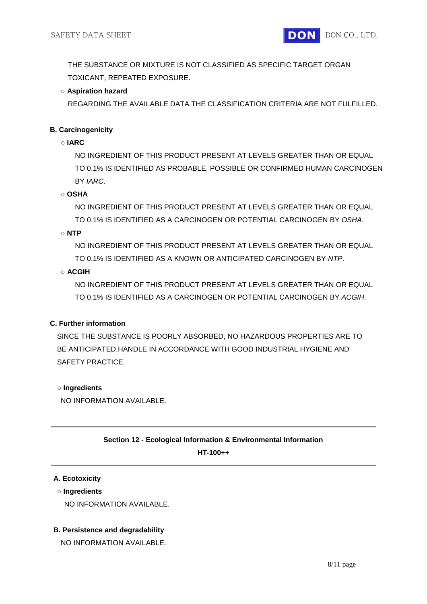THE SUBSTANCE OR MIXTURE IS NOT CLASSIFIED AS SPECIFIC TARGET ORGAN TOXICANT, REPEATED EXPOSURE.

## **○ Aspiration hazard**

REGARDING THE AVAILABLE DATA THE CLASSIFICATION CRITERIA ARE NOT FULFILLED.

## **B. Carcinogenicity**

## **○ IARC**

NO INGREDIENT OF THIS PRODUCT PRESENT AT LEVELS GREATER THAN OR EQUAL TO 0.1% IS IDENTIFIED AS PROBABLE, POSSIBLE OR CONFIRMED HUMAN CARCINOGEN BY *IARC*.

## **○ OSHA**

NO INGREDIENT OF THIS PRODUCT PRESENT AT LEVELS GREATER THAN OR EQUAL TO 0.1% IS IDENTIFIED AS A CARCINOGEN OR POTENTIAL CARCINOGEN BY *OSHA*.

**○ NTP**

NO INGREDIENT OF THIS PRODUCT PRESENT AT LEVELS GREATER THAN OR EQUAL TO 0.1% IS IDENTIFIED AS A KNOWN OR ANTICIPATED CARCINOGEN BY *NTP*.

## **○ ACGIH**

NO INGREDIENT OF THIS PRODUCT PRESENT AT LEVELS GREATER THAN OR EQUAL TO 0.1% IS IDENTIFIED AS A CARCINOGEN OR POTENTIAL CARCINOGEN BY *ACGIH*.

## **C. Further information**

SINCE THE SUBSTANCE IS POORLY ABSORBED, NO HAZARDOUS PROPERTIES ARE TO BE ANTICIPATED.HANDLE IN ACCORDANCE WITH GOOD INDUSTRIAL HYGIENE AND SAFETY PRACTICE.

## **○ Ingredients**

NO INFORMATION AVAILABLE.

## **Section 12 - Ecological Information & Environmental Information**

**HT-100++**

#### **A. Ecotoxicity**

#### **○ Ingredients**

NO INFORMATION AVAILABLE.

## **B. Persistence and degradability**

NO INFORMATION AVAILABLE.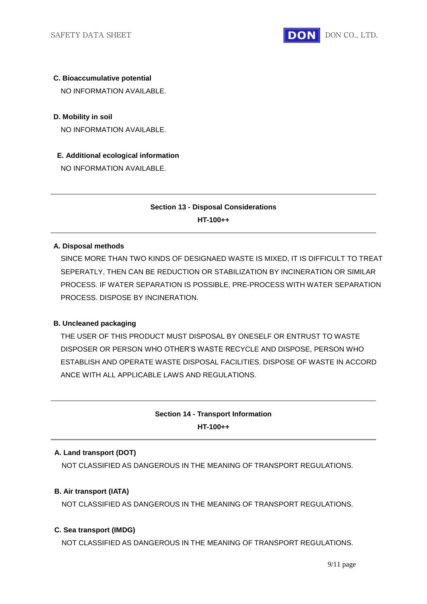

# **C. Bioaccumulative potential**

NO INFORMATION AVAILABLE.

## **D. Mobility in soil**

NO INFORMATION AVAILABLE.

**E. Additional ecological information** NO INFORMATION AVAILABLE.

# **Section 13 - Disposal Considerations HT-100++**

## **A. Disposal methods**

SINCE MORE THAN TWO KINDS OF DESIGNAED WASTE IS MIXED, IT IS DIFFICULT TO TREAT SEPERATLY, THEN CAN BE REDUCTION OR STABILIZATION BY INCINERATION OR SIMILAR PROCESS. IF WATER SEPARATION IS POSSIBLE, PRE-PROCESS WITH WATER SEPARATION PROCESS. DISPOSE BY INCINERATION.

## **B. Uncleaned packaging**

THE USER OF THIS PRODUCT MUST DISPOSAL BY ONESELF OR ENTRUST TO WASTE DISPOSER OR PERSON WHO OTHER'S WASTE RECYCLE AND DISPOSE, PERSON WHO ESTABLISH AND OPERATE WASTE DISPOSAL FACILITIES. DISPOSE OF WASTE IN ACCORD ANCE WITH ALL APPLICABLE LAWS AND REGULATIONS.

# **Section 14 - Transport Information HT-100++**

## **A. Land transport (DOT)**

NOT CLASSIFIED AS DANGEROUS IN THE MEANING OF TRANSPORT REGULATIONS.

## **B. Air transport (IATA)**

NOT CLASSIFIED AS DANGEROUS IN THE MEANING OF TRANSPORT REGULATIONS.

#### **C. Sea transport (IMDG)**

NOT CLASSIFIED AS DANGEROUS IN THE MEANING OF TRANSPORT REGULATIONS.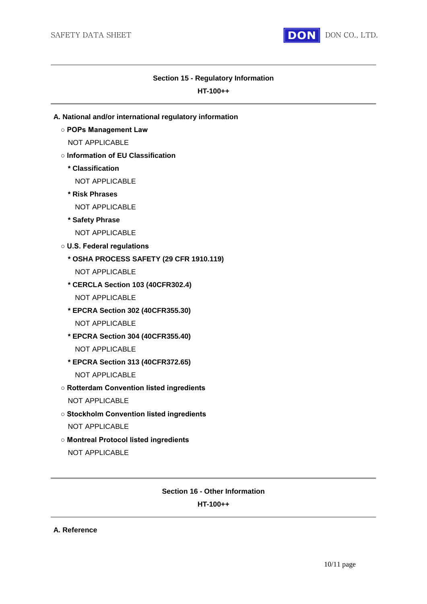

#### **Section 15 - Regulatory Information**

#### **HT-100++**

- **A. National and/or international regulatory information**
	- **POPs Management Law**
		- NOT APPLICABLE
	- **Information of EU Classification**
		- **\* Classification**
			- NOT APPLICABLE
		- **\* Risk Phrases**
			- NOT APPLICABLE
		- **\* Safety Phrase**
			- NOT APPLICABLE
	- **U.S. Federal regulations**
		- **\* OSHA PROCESS SAFETY (29 CFR 1910.119)**
			- NOT APPLICABLE
		- **\* CERCLA Section 103 (40CFR302.4)** NOT APPLICABLE
		- **\* EPCRA Section 302 (40CFR355.30)** NOT APPLICABLE
		- **\* EPCRA Section 304 (40CFR355.40)** NOT APPLICABLE
		- **\* EPCRA Section 313 (40CFR372.65)** NOT APPLICABLE
	- **Rotterdam Convention listed ingredients** NOT APPLICABLE
	- **Stockholm Convention listed ingredients** NOT APPLICABLE
	- **Montreal Protocol listed ingredients** NOT APPLICABLE

## **Section 16 - Other Information**

## **HT-100++**

```
A. Reference
```